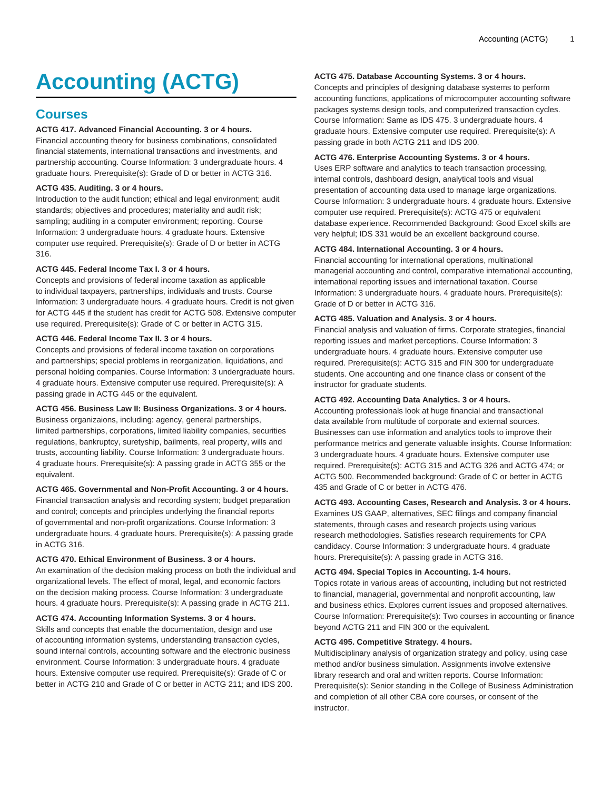# **Accounting (ACTG)**

# **Courses**

# **ACTG 417. Advanced Financial Accounting. 3 or 4 hours.**

Financial accounting theory for business combinations, consolidated financial statements, international transactions and investments, and partnership accounting. Course Information: 3 undergraduate hours. 4 graduate hours. Prerequisite(s): Grade of D or better in ACTG 316.

# **ACTG 435. Auditing. 3 or 4 hours.**

Introduction to the audit function; ethical and legal environment; audit standards; objectives and procedures; materiality and audit risk; sampling; auditing in a computer environment; reporting. Course Information: 3 undergraduate hours. 4 graduate hours. Extensive computer use required. Prerequisite(s): Grade of D or better in ACTG 316.

# **ACTG 445. Federal Income Tax I. 3 or 4 hours.**

Concepts and provisions of federal income taxation as applicable to individual taxpayers, partnerships, individuals and trusts. Course Information: 3 undergraduate hours. 4 graduate hours. Credit is not given for ACTG 445 if the student has credit for ACTG 508. Extensive computer use required. Prerequisite(s): Grade of C or better in ACTG 315.

# **ACTG 446. Federal Income Tax II. 3 or 4 hours.**

Concepts and provisions of federal income taxation on corporations and partnerships; special problems in reorganization, liquidations, and personal holding companies. Course Information: 3 undergraduate hours. 4 graduate hours. Extensive computer use required. Prerequisite(s): A passing grade in ACTG 445 or the equivalent.

# **ACTG 456. Business Law II: Business Organizations. 3 or 4 hours.**

Business organizaions, including: agency, general partnerships, limited partnerships, corporations, limited liability companies, securities regulations, bankruptcy, suretyship, bailments, real property, wills and trusts, accounting liability. Course Information: 3 undergraduate hours. 4 graduate hours. Prerequisite(s): A passing grade in ACTG 355 or the equivalent.

# **ACTG 465. Governmental and Non-Profit Accounting. 3 or 4 hours.**

Financial transaction analysis and recording system; budget preparation and control; concepts and principles underlying the financial reports of governmental and non-profit organizations. Course Information: 3 undergraduate hours. 4 graduate hours. Prerequisite(s): A passing grade in ACTG 316.

# **ACTG 470. Ethical Environment of Business. 3 or 4 hours.**

An examination of the decision making process on both the individual and organizational levels. The effect of moral, legal, and economic factors on the decision making process. Course Information: 3 undergraduate hours. 4 graduate hours. Prerequisite(s): A passing grade in ACTG 211.

# **ACTG 474. Accounting Information Systems. 3 or 4 hours.**

Skills and concepts that enable the documentation, design and use of accounting information systems, understanding transaction cycles, sound internal controls, accounting software and the electronic business environment. Course Information: 3 undergraduate hours. 4 graduate hours. Extensive computer use required. Prerequisite(s): Grade of C or better in ACTG 210 and Grade of C or better in ACTG 211; and IDS 200.

# **ACTG 475. Database Accounting Systems. 3 or 4 hours.**

Concepts and principles of designing database systems to perform accounting functions, applications of microcomputer accounting software packages systems design tools, and computerized transaction cycles. Course Information: Same as IDS 475. 3 undergraduate hours. 4 graduate hours. Extensive computer use required. Prerequisite(s): A passing grade in both ACTG 211 and IDS 200.

#### **ACTG 476. Enterprise Accounting Systems. 3 or 4 hours.**

Uses ERP software and analytics to teach transaction processing, internal controls, dashboard design, analytical tools and visual presentation of accounting data used to manage large organizations. Course Information: 3 undergraduate hours. 4 graduate hours. Extensive computer use required. Prerequisite(s): ACTG 475 or equivalent database experience. Recommended Background: Good Excel skills are very helpful; IDS 331 would be an excellent background course.

#### **ACTG 484. International Accounting. 3 or 4 hours.**

Financial accounting for international operations, multinational managerial accounting and control, comparative international accounting, international reporting issues and international taxation. Course Information: 3 undergraduate hours. 4 graduate hours. Prerequisite(s): Grade of D or better in ACTG 316.

# **ACTG 485. Valuation and Analysis. 3 or 4 hours.**

Financial analysis and valuation of firms. Corporate strategies, financial reporting issues and market perceptions. Course Information: 3 undergraduate hours. 4 graduate hours. Extensive computer use required. Prerequisite(s): ACTG 315 and FIN 300 for undergraduate students. One accounting and one finance class or consent of the instructor for graduate students.

#### **ACTG 492. Accounting Data Analytics. 3 or 4 hours.**

Accounting professionals look at huge financial and transactional data available from multitude of corporate and external sources. Businesses can use information and analytics tools to improve their performance metrics and generate valuable insights. Course Information: 3 undergraduate hours. 4 graduate hours. Extensive computer use required. Prerequisite(s): ACTG 315 and ACTG 326 and ACTG 474; or ACTG 500. Recommended background: Grade of C or better in ACTG 435 and Grade of C or better in ACTG 476.

#### **ACTG 493. Accounting Cases, Research and Analysis. 3 or 4 hours.**

Examines US GAAP, alternatives, SEC filings and company financial statements, through cases and research projects using various research methodologies. Satisfies research requirements for CPA candidacy. Course Information: 3 undergraduate hours. 4 graduate hours. Prerequisite(s): A passing grade in ACTG 316.

# **ACTG 494. Special Topics in Accounting. 1-4 hours.**

Topics rotate in various areas of accounting, including but not restricted to financial, managerial, governmental and nonprofit accounting, law and business ethics. Explores current issues and proposed alternatives. Course Information: Prerequisite(s): Two courses in accounting or finance beyond ACTG 211 and FIN 300 or the equivalent.

#### **ACTG 495. Competitive Strategy. 4 hours.**

Multidisciplinary analysis of organization strategy and policy, using case method and/or business simulation. Assignments involve extensive library research and oral and written reports. Course Information: Prerequisite(s): Senior standing in the College of Business Administration and completion of all other CBA core courses, or consent of the instructor.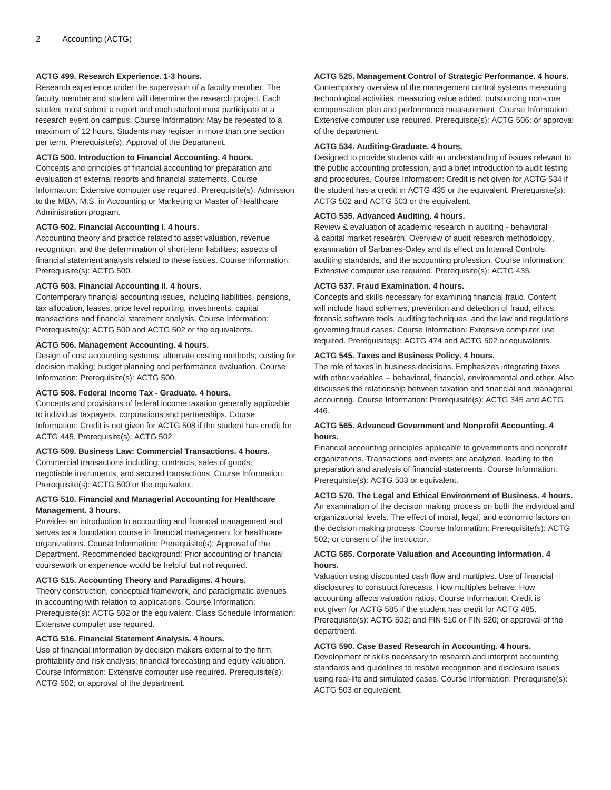# **ACTG 499. Research Experience. 1-3 hours.**

Research experience under the supervision of a faculty member. The faculty member and student will determine the research project. Each student must submit a report and each student must participate at a research event on campus. Course Information: May be repeated to a maximum of 12 hours. Students may register in more than one section per term. Prerequisite(s): Approval of the Department.

#### **ACTG 500. Introduction to Financial Accounting. 4 hours.**

Concepts and principles of financial accounting for preparation and evaluation of external reports and financial statements. Course Information: Extensive computer use required. Prerequisite(s): Admission to the MBA, M.S. in Accounting or Marketing or Master of Healthcare Administration program.

#### **ACTG 502. Financial Accounting I. 4 hours.**

Accounting theory and practice related to asset valuation, revenue recognition, and the determination of short-term liabilities; aspects of financial statement analysis related to these issues. Course Information: Prerequisite(s): ACTG 500.

#### **ACTG 503. Financial Accounting II. 4 hours.**

Contemporary financial accounting issues, including liabilities, pensions, tax allocation, leases, price level reporting, investments, capital transactions and financial statement analysis. Course Information: Prerequisite(s): ACTG 500 and ACTG 502 or the equivalents.

# **ACTG 506. Management Accounting. 4 hours.**

Design of cost accounting systems; alternate costing methods; costing for decision making; budget planning and performance evaluation. Course Information: Prerequisite(s): ACTG 500.

#### **ACTG 508. Federal Income Tax - Graduate. 4 hours.**

Concepts and provisions of federal income taxation generally applicable to individual taxpayers, corporations and partnerships. Course Information: Credit is not given for ACTG 508 if the student has credit for ACTG 445. Prerequisite(s): ACTG 502.

#### **ACTG 509. Business Law: Commercial Transactions. 4 hours.**

Commercial transactions including: contracts, sales of goods, negotiable instruments, and secured transactions. Course Information: Prerequisite(s): ACTG 500 or the equivalent.

# **ACTG 510. Financial and Managerial Accounting for Healthcare Management. 3 hours.**

Provides an introduction to accounting and financial management and serves as a foundation course in financial management for healthcare organizations. Course Information: Prerequisite(s): Approval of the Department. Recommended background: Prior accounting or financial coursework or experience would be helpful but not required.

# **ACTG 515. Accounting Theory and Paradigms. 4 hours.**

Theory construction, conceptual framework, and paradigmatic avenues in accounting with relation to applications. Course Information: Prerequisite(s): ACTG 502 or the equivalent. Class Schedule Information: Extensive computer use required.

### **ACTG 516. Financial Statement Analysis. 4 hours.**

Use of financial information by decision makers external to the firm; profitability and risk analysis; financial forecasting and equity valuation. Course Information: Extensive computer use required. Prerequisite(s): ACTG 502; or approval of the department.

# **ACTG 525. Management Control of Strategic Performance. 4 hours.**

Contemporary overview of the management control systems measuring technological activities, measuring value added, outsourcing non-core compensation plan and performance measurement. Course Information: Extensive computer use required. Prerequisite(s): ACTG 506; or approval of the department.

#### **ACTG 534. Auditing-Graduate. 4 hours.**

Designed to provide students with an understanding of issues relevant to the public accounting profession, and a brief introduction to audit testing and procedures. Course Information: Credit is not given for ACTG 534 if the student has a credit in ACTG 435 or the equivalent. Prerequisite(s): ACTG 502 and ACTG 503 or the equivalent.

#### **ACTG 535. Advanced Auditing. 4 hours.**

Review & evaluation of academic research in auditing - behavioral & capital market research. Overview of audit research methodology, examination of Sarbanes-Oxley and its effect on Internal Controls, auditing standards, and the accounting profession. Course Information: Extensive computer use required. Prerequisite(s): ACTG 435.

#### **ACTG 537. Fraud Examination. 4 hours.**

Concepts and skills necessary for examining financial fraud. Content will include fraud schemes, prevention and detection of fraud, ethics, forensic software tools, auditing techniques, and the law and regulations governing fraud cases. Course Information: Extensive computer use required. Prerequisite(s): ACTG 474 and ACTG 502 or equivalents.

# **ACTG 545. Taxes and Business Policy. 4 hours.**

The role of taxes in business decisions. Emphasizes integrating taxes with other variables -- behavioral, financial, environmental and other. Also discusses the relationship between taxation and financial and managerial accounting. Course Information: Prerequisite(s): ACTG 345 and ACTG 446.

# **ACTG 565. Advanced Government and Nonprofit Accounting. 4 hours.**

Financial accounting principles applicable to governments and nonprofit organizations. Transactions and events are analyzed, leading to the preparation and analysis of financial statements. Course Information: Prerequisite(s): ACTG 503 or equivalent.

# **ACTG 570. The Legal and Ethical Environment of Business. 4 hours.**

An examination of the decision making process on both the individual and organizational levels. The effect of moral, legal, and economic factors on the decision making process. Course Information: Prerequisite(s): ACTG 502; or consent of the instructor.

# **ACTG 585. Corporate Valuation and Accounting Information. 4 hours.**

Valuation using discounted cash flow and multiples. Use of financial disclosures to construct forecasts. How multiples behave. How accounting affects valuation ratios. Course Information: Credit is not given for ACTG 585 if the student has credit for ACTG 485. Prerequisite(s): ACTG 502; and FIN 510 or FIN 520; or approval of the department.

#### **ACTG 590. Case Based Research in Accounting. 4 hours.**

Development of skills necessary to research and interpret accounting standards and guidelines to resolve recognition and disclosure issues using real-life and simulated cases. Course Information: Prerequisite(s): ACTG 503 or equivalent.